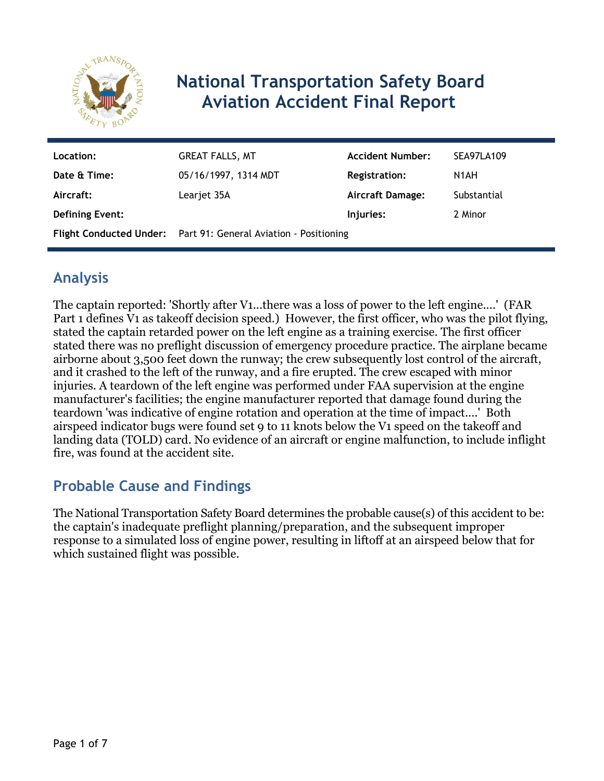

# **National Transportation Safety Board Aviation Accident Final Report**

| Location:              | <b>GREAT FALLS, MT</b>                                          | <b>Accident Number:</b> | SEA97LA109        |
|------------------------|-----------------------------------------------------------------|-------------------------|-------------------|
| Date & Time:           | 05/16/1997, 1314 MDT                                            | <b>Registration:</b>    | N <sub>1</sub> AH |
| Aircraft:              | Learjet 35A                                                     | <b>Aircraft Damage:</b> | Substantial       |
| <b>Defining Event:</b> |                                                                 | Injuries:               | 2 Minor           |
|                        | Flight Conducted Under: Part 91: General Aviation - Positioning |                         |                   |

# **Analysis**

The captain reported: 'Shortly after V1...there was a loss of power to the left engine....' (FAR Part 1 defines V1 as takeoff decision speed.) However, the first officer, who was the pilot flying, stated the captain retarded power on the left engine as a training exercise. The first officer stated there was no preflight discussion of emergency procedure practice. The airplane became airborne about 3,500 feet down the runway; the crew subsequently lost control of the aircraft, and it crashed to the left of the runway, and a fire erupted. The crew escaped with minor injuries. A teardown of the left engine was performed under FAA supervision at the engine manufacturer's facilities; the engine manufacturer reported that damage found during the teardown 'was indicative of engine rotation and operation at the time of impact....' Both airspeed indicator bugs were found set 9 to 11 knots below the V1 speed on the takeoff and landing data (TOLD) card. No evidence of an aircraft or engine malfunction, to include inflight fire, was found at the accident site.

## **Probable Cause and Findings**

The National Transportation Safety Board determines the probable cause(s) of this accident to be: the captain's inadequate preflight planning/preparation, and the subsequent improper response to a simulated loss of engine power, resulting in liftoff at an airspeed below that for which sustained flight was possible.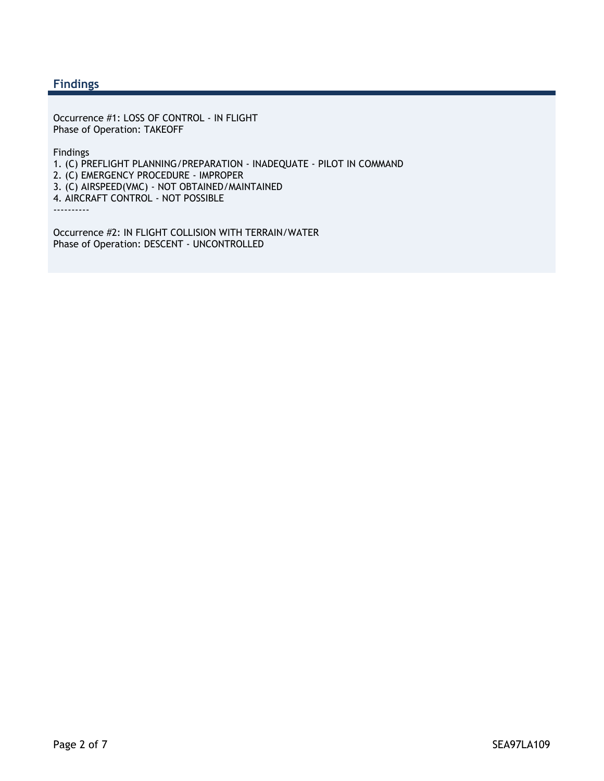### **Findings**

Occurrence #1: LOSS OF CONTROL - IN FLIGHT Phase of Operation: TAKEOFF

Findings

1. (C) PREFLIGHT PLANNING/PREPARATION - INADEQUATE - PILOT IN COMMAND

2. (C) EMERGENCY PROCEDURE - IMPROPER

3. (C) AIRSPEED(VMC) - NOT OBTAINED/MAINTAINED

4. AIRCRAFT CONTROL - NOT POSSIBLE

----------

Occurrence #2: IN FLIGHT COLLISION WITH TERRAIN/WATER Phase of Operation: DESCENT - UNCONTROLLED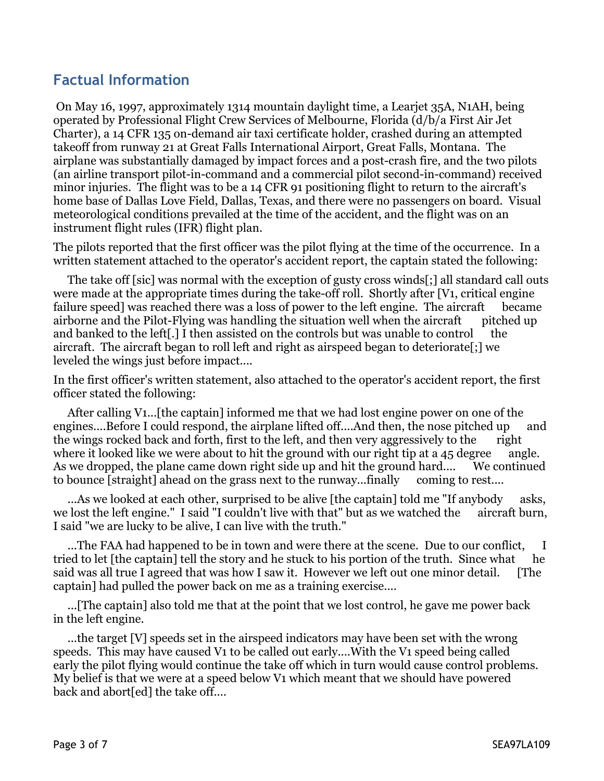### **Factual Information**

 On May 16, 1997, approximately 1314 mountain daylight time, a Learjet 35A, N1AH, being operated by Professional Flight Crew Services of Melbourne, Florida (d/b/a First Air Jet Charter), a 14 CFR 135 on-demand air taxi certificate holder, crashed during an attempted takeoff from runway 21 at Great Falls International Airport, Great Falls, Montana. The airplane was substantially damaged by impact forces and a post-crash fire, and the two pilots (an airline transport pilot-in-command and a commercial pilot second-in-command) received minor injuries. The flight was to be a 14 CFR 91 positioning flight to return to the aircraft's home base of Dallas Love Field, Dallas, Texas, and there were no passengers on board. Visual meteorological conditions prevailed at the time of the accident, and the flight was on an instrument flight rules (IFR) flight plan.

The pilots reported that the first officer was the pilot flying at the time of the occurrence. In a written statement attached to the operator's accident report, the captain stated the following:

 The take off [sic] was normal with the exception of gusty cross winds[;] all standard call outs were made at the appropriate times during the take-off roll. Shortly after [V1, critical engine failure speed] was reached there was a loss of power to the left engine. The aircraft became airborne and the Pilot-Flying was handling the situation well when the aircraft pitched up and banked to the left[.] I then assisted on the controls but was unable to control the aircraft. The aircraft began to roll left and right as airspeed began to deteriorate[;] we leveled the wings just before impact....

In the first officer's written statement, also attached to the operator's accident report, the first officer stated the following:

 After calling V1...[the captain] informed me that we had lost engine power on one of the engines....Before I could respond, the airplane lifted off....And then, the nose pitched up and the wings rocked back and forth, first to the left, and then very aggressively to the right where it looked like we were about to hit the ground with our right tip at a 45 degree angle. As we dropped, the plane came down right side up and hit the ground hard.... We continued to bounce [straight] ahead on the grass next to the runway...finally coming to rest....

 ...As we looked at each other, surprised to be alive [the captain] told me "If anybody asks, we lost the left engine." I said "I couldn't live with that" but as we watched the aircraft burn, I said "we are lucky to be alive, I can live with the truth."

...The FAA had happened to be in town and were there at the scene. Due to our conflict, I tried to let [the captain] tell the story and he stuck to his portion of the truth. Since what he said was all true I agreed that was how I saw it. However we left out one minor detail. [The captain] had pulled the power back on me as a training exercise....

 ...[The captain] also told me that at the point that we lost control, he gave me power back in the left engine.

 ...the target [V] speeds set in the airspeed indicators may have been set with the wrong speeds. This may have caused V1 to be called out early....With the V1 speed being called early the pilot flying would continue the take off which in turn would cause control problems. My belief is that we were at a speed below V1 which meant that we should have powered back and abort[ed] the take off....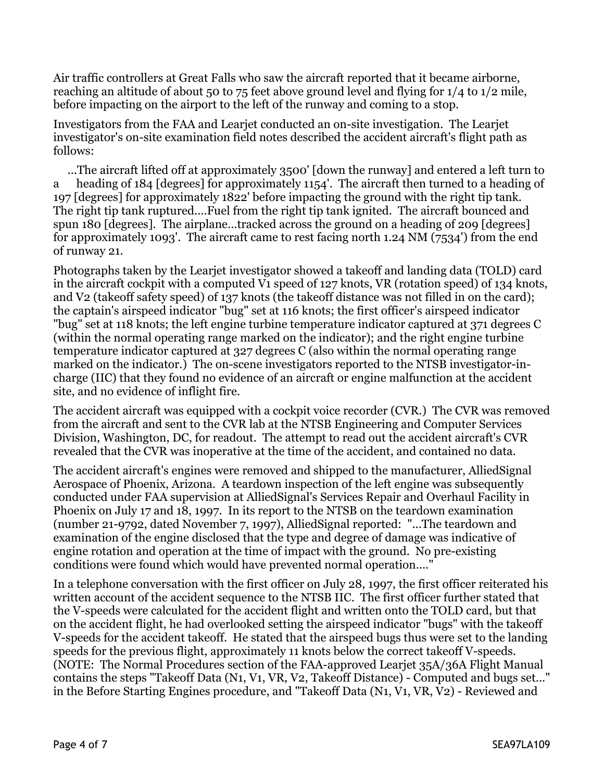Air traffic controllers at Great Falls who saw the aircraft reported that it became airborne, reaching an altitude of about 50 to 75 feet above ground level and flying for 1/4 to 1/2 mile, before impacting on the airport to the left of the runway and coming to a stop.

Investigators from the FAA and Learjet conducted an on-site investigation. The Learjet investigator's on-site examination field notes described the accident aircraft's flight path as follows:

 ...The aircraft lifted off at approximately 3500' [down the runway] and entered a left turn to a heading of 184 [degrees] for approximately 1154'. The aircraft then turned to a heading of 197 [degrees] for approximately 1822' before impacting the ground with the right tip tank. The right tip tank ruptured....Fuel from the right tip tank ignited. The aircraft bounced and spun 180 [degrees]. The airplane...tracked across the ground on a heading of 209 [degrees] for approximately 1093'. The aircraft came to rest facing north 1.24 NM (7534') from the end of runway 21.

Photographs taken by the Learjet investigator showed a takeoff and landing data (TOLD) card in the aircraft cockpit with a computed V1 speed of 127 knots, VR (rotation speed) of 134 knots, and V2 (takeoff safety speed) of 137 knots (the takeoff distance was not filled in on the card); the captain's airspeed indicator "bug" set at 116 knots; the first officer's airspeed indicator "bug" set at 118 knots; the left engine turbine temperature indicator captured at 371 degrees C (within the normal operating range marked on the indicator); and the right engine turbine temperature indicator captured at 327 degrees C (also within the normal operating range marked on the indicator.) The on-scene investigators reported to the NTSB investigator-incharge (IIC) that they found no evidence of an aircraft or engine malfunction at the accident site, and no evidence of inflight fire.

The accident aircraft was equipped with a cockpit voice recorder (CVR.) The CVR was removed from the aircraft and sent to the CVR lab at the NTSB Engineering and Computer Services Division, Washington, DC, for readout. The attempt to read out the accident aircraft's CVR revealed that the CVR was inoperative at the time of the accident, and contained no data.

The accident aircraft's engines were removed and shipped to the manufacturer, AlliedSignal Aerospace of Phoenix, Arizona. A teardown inspection of the left engine was subsequently conducted under FAA supervision at AlliedSignal's Services Repair and Overhaul Facility in Phoenix on July 17 and 18, 1997. In its report to the NTSB on the teardown examination (number 21-9792, dated November 7, 1997), AlliedSignal reported: "...The teardown and examination of the engine disclosed that the type and degree of damage was indicative of engine rotation and operation at the time of impact with the ground. No pre-existing conditions were found which would have prevented normal operation...."

In a telephone conversation with the first officer on July 28, 1997, the first officer reiterated his written account of the accident sequence to the NTSB IIC. The first officer further stated that the V-speeds were calculated for the accident flight and written onto the TOLD card, but that on the accident flight, he had overlooked setting the airspeed indicator "bugs" with the takeoff V-speeds for the accident takeoff. He stated that the airspeed bugs thus were set to the landing speeds for the previous flight, approximately 11 knots below the correct takeoff V-speeds. (NOTE: The Normal Procedures section of the FAA-approved Learjet 35A/36A Flight Manual contains the steps "Takeoff Data (N1, V1, VR, V2, Takeoff Distance) - Computed and bugs set..." in the Before Starting Engines procedure, and "Takeoff Data (N1, V1, VR, V2) - Reviewed and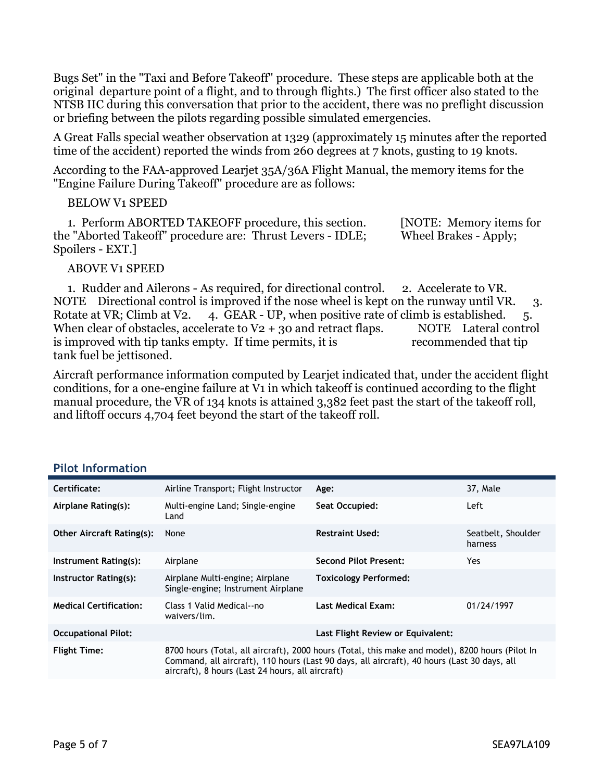Bugs Set" in the "Taxi and Before Takeoff" procedure. These steps are applicable both at the original departure point of a flight, and to through flights.) The first officer also stated to the NTSB IIC during this conversation that prior to the accident, there was no preflight discussion or briefing between the pilots regarding possible simulated emergencies.

A Great Falls special weather observation at 1329 (approximately 15 minutes after the reported time of the accident) reported the winds from 260 degrees at 7 knots, gusting to 19 knots.

According to the FAA-approved Learjet 35A/36A Flight Manual, the memory items for the "Engine Failure During Takeoff" procedure are as follows:

### BELOW V1 SPEED

 1. Perform ABORTED TAKEOFF procedure, this section. [NOTE: Memory items for the "Aborted Takeoff" procedure are: Thrust Levers - IDLE; Wheel Brakes - Apply; Spoilers - EXT.]

#### ABOVE V1 SPEED

 1. Rudder and Ailerons - As required, for directional control. 2. Accelerate to VR. NOTE Directional control is improved if the nose wheel is kept on the runway until VR. 3. Rotate at VR; Climb at V2.  $\alpha$  4. GEAR - UP, when positive rate of climb is established.  $\beta$ . When clear of obstacles, accelerate to  $V_2$  + 30 and retract flaps. NOTE Lateral control is improved with tip tanks empty. If time permits, it is recommended that tip tank fuel be jettisoned.

Aircraft performance information computed by Learjet indicated that, under the accident flight conditions, for a one-engine failure at V1 in which takeoff is continued according to the flight manual procedure, the VR of 134 knots is attained 3,382 feet past the start of the takeoff roll, and liftoff occurs 4,704 feet beyond the start of the takeoff roll.

| Certificate:                     | Airline Transport; Flight Instructor                                                                                                                                                                                                               | Age:                         | 37, Male                      |  |
|----------------------------------|----------------------------------------------------------------------------------------------------------------------------------------------------------------------------------------------------------------------------------------------------|------------------------------|-------------------------------|--|
| Airplane Rating(s):              | Multi-engine Land; Single-engine<br>Land                                                                                                                                                                                                           | Seat Occupied:               | Left                          |  |
| <b>Other Aircraft Rating(s):</b> | None                                                                                                                                                                                                                                               | <b>Restraint Used:</b>       | Seatbelt, Shoulder<br>harness |  |
| Instrument Rating(s):            | Airplane                                                                                                                                                                                                                                           | <b>Second Pilot Present:</b> | Yes.                          |  |
| Instructor Rating(s):            | Airplane Multi-engine; Airplane<br>Single-engine; Instrument Airplane                                                                                                                                                                              | Toxicology Performed:        |                               |  |
| <b>Medical Certification:</b>    | Class 1 Valid Medical--no<br>waivers/lim.                                                                                                                                                                                                          | Last Medical Exam:           | 01/24/1997                    |  |
| <b>Occupational Pilot:</b>       | Last Flight Review or Equivalent:                                                                                                                                                                                                                  |                              |                               |  |
| <b>Flight Time:</b>              | 8700 hours (Total, all aircraft), 2000 hours (Total, this make and model), 8200 hours (Pilot In<br>Command, all aircraft), 110 hours (Last 90 days, all aircraft), 40 hours (Last 30 days, all<br>aircraft), 8 hours (Last 24 hours, all aircraft) |                              |                               |  |

#### **Pilot Information**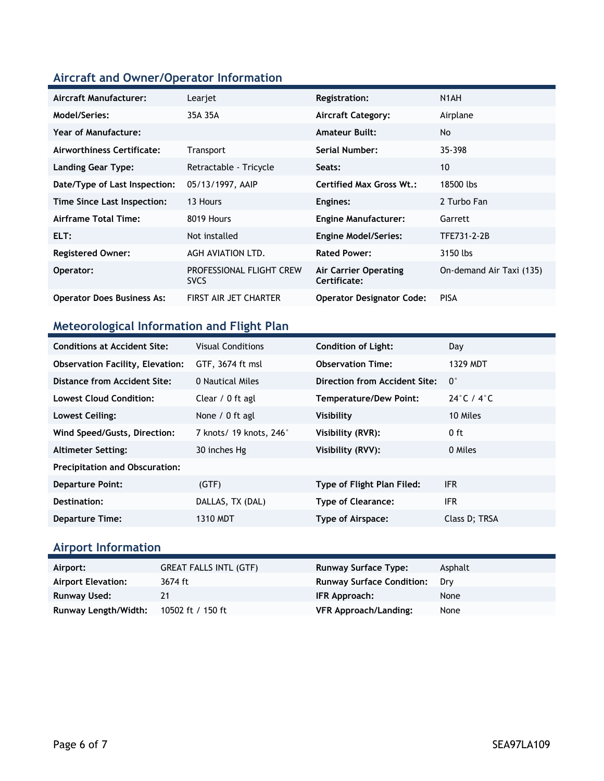### **Aircraft and Owner/Operator Information**

| Aircraft Manufacturer:            | Learjet                                 | Registration:                         | N1AH                     |
|-----------------------------------|-----------------------------------------|---------------------------------------|--------------------------|
| Model/Series:                     | 35A 35A                                 | <b>Aircraft Category:</b>             | Airplane                 |
| Year of Manufacture:              |                                         | <b>Amateur Built:</b>                 | <b>No</b>                |
| Airworthiness Certificate:        | Transport                               | Serial Number:                        | 35-398                   |
| <b>Landing Gear Type:</b>         | Retractable - Tricycle                  | Seats:                                | 10                       |
| Date/Type of Last Inspection:     | 05/13/1997, AAIP                        | <b>Certified Max Gross Wt.:</b>       | 18500 lbs                |
| Time Since Last Inspection:       | 13 Hours                                | Engines:                              | 2 Turbo Fan              |
| Airframe Total Time:              | 8019 Hours                              | <b>Engine Manufacturer:</b>           | Garrett                  |
| ELT:                              | Not installed                           | <b>Engine Model/Series:</b>           | TFE731-2-2B              |
| <b>Registered Owner:</b>          | AGH AVIATION LTD.                       | <b>Rated Power:</b>                   | 3150 lbs                 |
| Operator:                         | PROFESSIONAL FLIGHT CREW<br><b>SVCS</b> | Air Carrier Operating<br>Certificate: | On-demand Air Taxi (135) |
| <b>Operator Does Business As:</b> | FIRST AIR JET CHARTER                   | <b>Operator Designator Code:</b>      | <b>PISA</b>              |

### **Meteorological Information and Flight Plan**

| <b>Conditions at Accident Site:</b>     | <b>Visual Conditions</b> | <b>Condition of Light:</b>    | Day                            |
|-----------------------------------------|--------------------------|-------------------------------|--------------------------------|
| <b>Observation Facility, Elevation:</b> | GTF, 3674 ft msl         | <b>Observation Time:</b>      | 1329 MDT                       |
| Distance from Accident Site:            | 0 Nautical Miles         | Direction from Accident Site: | $\mathbf{0}^{\circ}$           |
| Lowest Cloud Condition:                 | Clear / 0 ft agl         | <b>Temperature/Dew Point:</b> | 24 $\degree$ C / 4 $\degree$ C |
| Lowest Ceiling:                         | None $/ 0$ ft agl        | Visibility                    | 10 Miles                       |
| Wind Speed/Gusts, Direction:            | 7 knots/ 19 knots, 246°  | Visibility (RVR):             | 0 ft                           |
| <b>Altimeter Setting:</b>               | 30 inches Hg             | Visibility (RVV):             | 0 Miles                        |
| <b>Precipitation and Obscuration:</b>   |                          |                               |                                |
| <b>Departure Point:</b>                 | (GTF)                    | Type of Flight Plan Filed:    | <b>IFR</b>                     |
| Destination:                            | DALLAS, TX (DAL)         | <b>Type of Clearance:</b>     | <b>IFR</b>                     |
| <b>Departure Time:</b>                  | 1310 MDT                 | Type of Airspace:             | Class D; TRSA                  |

# **Airport Information**

| Airport:                  | <b>GREAT FALLS INTL (GTF)</b> | <b>Runway Surface Type:</b>      | Asphalt |
|---------------------------|-------------------------------|----------------------------------|---------|
| <b>Airport Elevation:</b> | 3674 ft                       | <b>Runway Surface Condition:</b> | Drv     |
| Runway Used:              | 21                            | IFR Approach:                    | None    |
| Runway Length/Width:      | 10502 ft / 150 ft             | <b>VFR Approach/Landing:</b>     | None    |